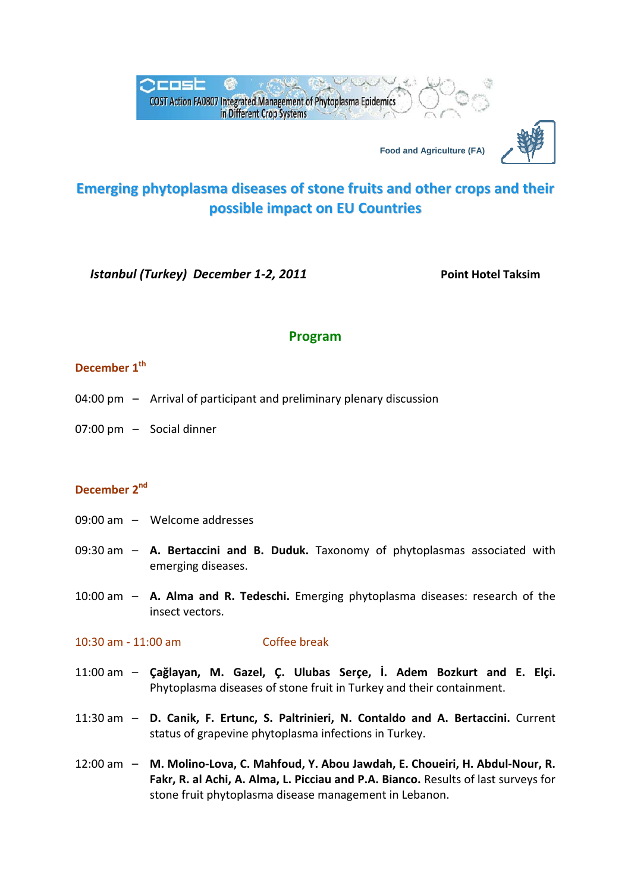



*Istanbul (Turkey) December 1‐2, 2011* **Point Hotel Taksim**

## **Program**

# **December**  $1<sup>th</sup>$

- 04:00 pm Arrival of participant and preliminary plenary discussion
- 07:00 pm Social dinner

### **December 2nd**

- 09:00 am – Welcome addresses
- 09:30 am – **A. Bertaccini and B. Duduk.** Taxonomy of phytoplasmas associated with emerging diseases.
- 10:00 am – **A. Alma and R. Tedeschi.** Emerging phytoplasma diseases: research of the insect vectors.

#### 10:30 am ‐ 11:00 am Coffee break

- 11:00 am – **Çağlayan, M. Gazel, Ç. Ulubas Serçe, İ. Adem Bozkurt and E. Elçi.** Phytoplasma diseases of stone fruit in Turkey and their containment.
- 11:30 am – **D. Canik, F. Ertunc, S. Paltrinieri, N. Contaldo and A. Bertaccini.** Current status of grapevine phytoplasma infections in Turkey.
- 12:00 am – **M. Molino‐Lova, C. Mahfoud, Y. Abou Jawdah, E. Choueiri, H. Abdul‐Nour, R. Fakr, R. al Achi, A. Alma, L. Picciau and P.A. Bianco.** Results of last surveys for stone fruit phytoplasma disease management in Lebanon.